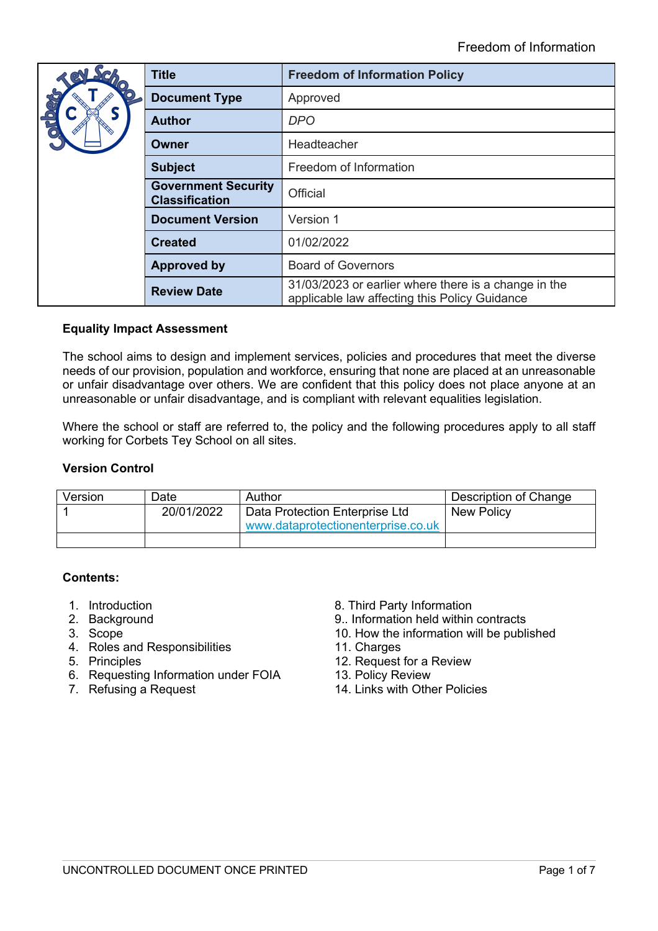|     | <b>Title</b>                                        | <b>Freedom of Information Policy</b>                                                                  |  |
|-----|-----------------------------------------------------|-------------------------------------------------------------------------------------------------------|--|
| QIO | <b>Document Type</b>                                | Approved                                                                                              |  |
|     | <b>Author</b>                                       | <b>DPO</b>                                                                                            |  |
|     | <b>Owner</b>                                        | Headteacher                                                                                           |  |
|     | <b>Subject</b>                                      | Freedom of Information                                                                                |  |
|     | <b>Government Security</b><br><b>Classification</b> | Official                                                                                              |  |
|     | <b>Document Version</b>                             | Version 1                                                                                             |  |
|     | <b>Created</b>                                      | 01/02/2022                                                                                            |  |
|     | <b>Approved by</b>                                  | <b>Board of Governors</b>                                                                             |  |
|     | <b>Review Date</b>                                  | 31/03/2023 or earlier where there is a change in the<br>applicable law affecting this Policy Guidance |  |

# **Equality Impact Assessment**

The school aims to design and implement services, policies and procedures that meet the diverse needs of our provision, population and workforce, ensuring that none are placed at an unreasonable or unfair disadvantage over others. We are confident that this policy does not place anyone at an unreasonable or unfair disadvantage, and is compliant with relevant equalities legislation.

Where the school or staff are referred to, the policy and the following procedures apply to all staff working for Corbets Tey School on all sites.

# **Version Control**

| Version | Date       | Author                                                               | Description of Change |
|---------|------------|----------------------------------------------------------------------|-----------------------|
|         | 20/01/2022 | Data Protection Enterprise Ltd<br>www.dataprotectionenterprise.co.uk | <b>New Policy</b>     |
|         |            |                                                                      |                       |

# **Contents:**

- 
- 
- 
- 4. Roles and Responsibilities 11. Charges
- 
- 6. Requesting Information under FOIA 13. Policy Review
- 
- 1. Introduction 8. Third Party Information
- 2. Background 9.. Information held within contracts
- 3. Scope 10. How the information will be published
	-
- 5. Principles 12. Request for a Review
	-
- 7. Refusing a Request **14. Links with Other Policies**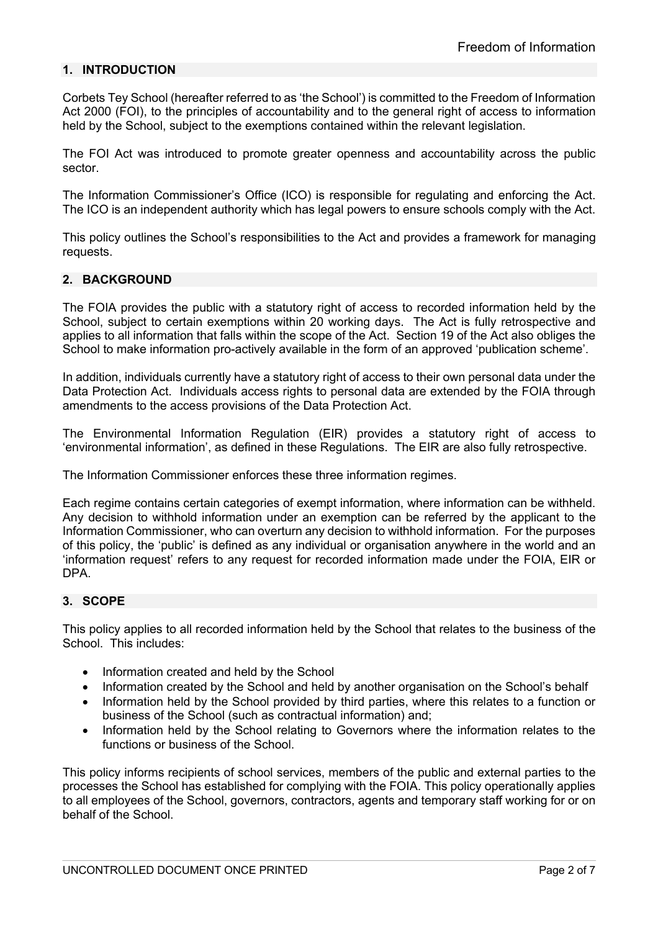# **1. INTRODUCTION**

Corbets Tey School (hereafter referred to as 'the School') is committed to the Freedom of Information Act 2000 (FOI), to the principles of accountability and to the general right of access to information held by the School, subject to the exemptions contained within the relevant legislation.

The FOI Act was introduced to promote greater openness and accountability across the public sector.

The Information Commissioner's Office (ICO) is responsible for regulating and enforcing the Act. The ICO is an independent authority which has legal powers to ensure schools comply with the Act.

This policy outlines the School's responsibilities to the Act and provides a framework for managing requests.

### **2. BACKGROUND**

The FOIA provides the public with a statutory right of access to recorded information held by the School, subject to certain exemptions within 20 working days. The Act is fully retrospective and applies to all information that falls within the scope of the Act. Section 19 of the Act also obliges the School to make information pro-actively available in the form of an approved 'publication scheme'.

In addition, individuals currently have a statutory right of access to their own personal data under the Data Protection Act. Individuals access rights to personal data are extended by the FOIA through amendments to the access provisions of the Data Protection Act.

The Environmental Information Regulation (EIR) provides a statutory right of access to 'environmental information', as defined in these Regulations. The EIR are also fully retrospective.

The Information Commissioner enforces these three information regimes.

Each regime contains certain categories of exempt information, where information can be withheld. Any decision to withhold information under an exemption can be referred by the applicant to the Information Commissioner, who can overturn any decision to withhold information. For the purposes of this policy, the 'public' is defined as any individual or organisation anywhere in the world and an 'information request' refers to any request for recorded information made under the FOIA, EIR or DPA.

### **3. SCOPE**

This policy applies to all recorded information held by the School that relates to the business of the School. This includes:

- Information created and held by the School
- Information created by the School and held by another organisation on the School's behalf
- Information held by the School provided by third parties, where this relates to a function or business of the School (such as contractual information) and;
- Information held by the School relating to Governors where the information relates to the functions or business of the School.

This policy informs recipients of school services, members of the public and external parties to the processes the School has established for complying with the FOIA. This policy operationally applies to all employees of the School, governors, contractors, agents and temporary staff working for or on behalf of the School.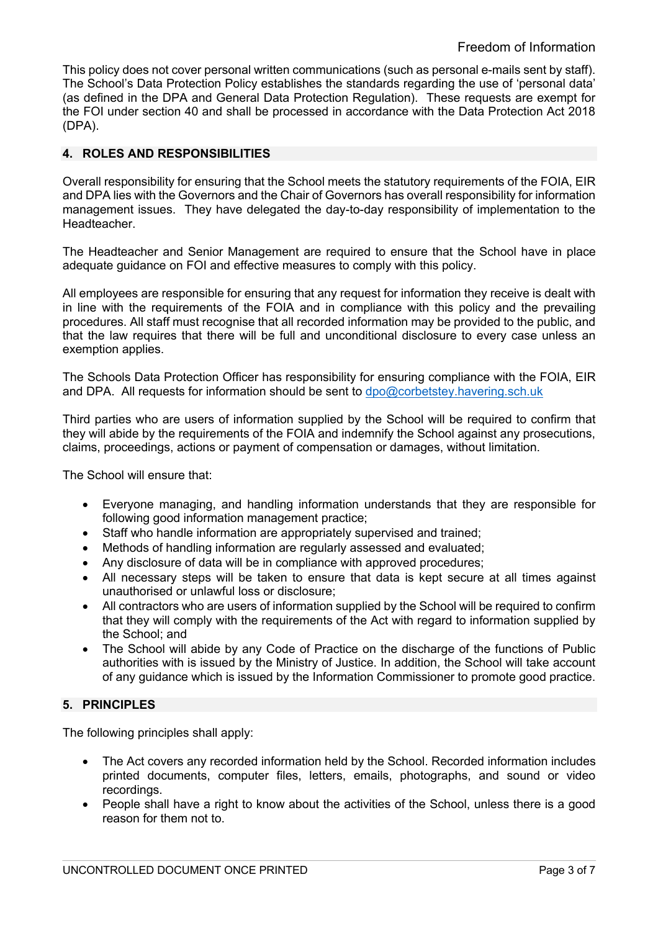This policy does not cover personal written communications (such as personal e-mails sent by staff). The School's Data Protection Policy establishes the standards regarding the use of 'personal data' (as defined in the DPA and General Data Protection Regulation). These requests are exempt for the FOI under section 40 and shall be processed in accordance with the Data Protection Act 2018 (DPA).

# **4. ROLES AND RESPONSIBILITIES**

Overall responsibility for ensuring that the School meets the statutory requirements of the FOIA, EIR and DPA lies with the Governors and the Chair of Governors has overall responsibility for information management issues. They have delegated the day-to-day responsibility of implementation to the Headteacher.

The Headteacher and Senior Management are required to ensure that the School have in place adequate guidance on FOI and effective measures to comply with this policy.

All employees are responsible for ensuring that any request for information they receive is dealt with in line with the requirements of the FOIA and in compliance with this policy and the prevailing procedures. All staff must recognise that all recorded information may be provided to the public, and that the law requires that there will be full and unconditional disclosure to every case unless an exemption applies.

The Schools Data Protection Officer has responsibility for ensuring compliance with the FOIA, EIR and DPA. All requests for information should be sent to dpo@corbetstey.havering.sch.uk

Third parties who are users of information supplied by the School will be required to confirm that they will abide by the requirements of the FOIA and indemnify the School against any prosecutions, claims, proceedings, actions or payment of compensation or damages, without limitation.

The School will ensure that:

- Everyone managing, and handling information understands that they are responsible for following good information management practice;
- Staff who handle information are appropriately supervised and trained;
- Methods of handling information are regularly assessed and evaluated;
- Any disclosure of data will be in compliance with approved procedures;
- All necessary steps will be taken to ensure that data is kept secure at all times against unauthorised or unlawful loss or disclosure;
- All contractors who are users of information supplied by the School will be required to confirm that they will comply with the requirements of the Act with regard to information supplied by the School; and
- The School will abide by any Code of Practice on the discharge of the functions of Public authorities with is issued by the Ministry of Justice. In addition, the School will take account of any guidance which is issued by the Information Commissioner to promote good practice.

# **5. PRINCIPLES**

The following principles shall apply:

- The Act covers any recorded information held by the School. Recorded information includes printed documents, computer files, letters, emails, photographs, and sound or video recordings.
- People shall have a right to know about the activities of the School, unless there is a good reason for them not to.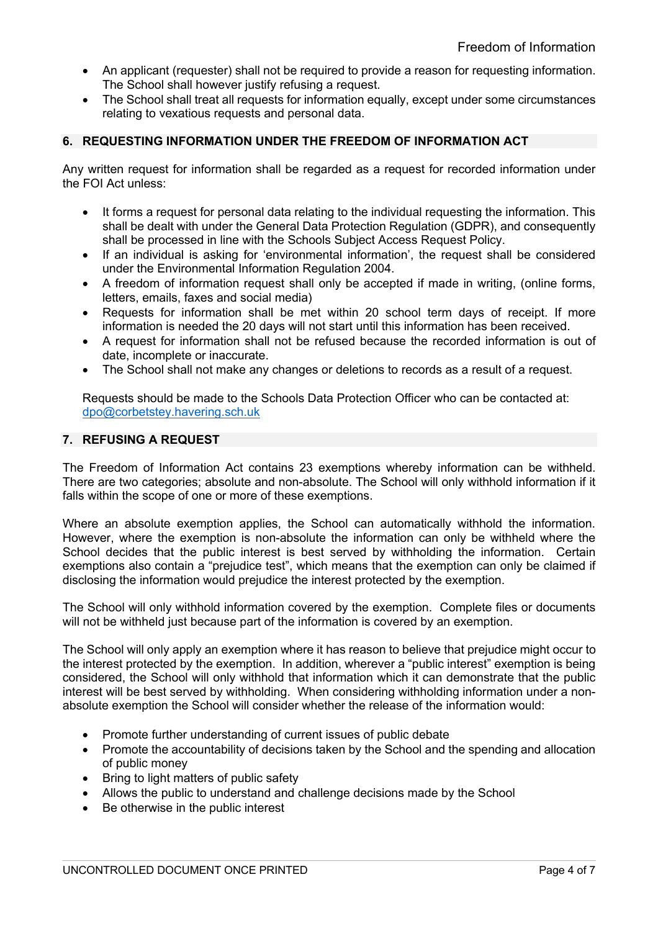- An applicant (requester) shall not be required to provide a reason for requesting information. The School shall however justify refusing a request.
- The School shall treat all requests for information equally, except under some circumstances relating to vexatious requests and personal data.

# **6. REQUESTING INFORMATION UNDER THE FREEDOM OF INFORMATION ACT**

Any written request for information shall be regarded as a request for recorded information under the FOI Act unless:

- It forms a request for personal data relating to the individual requesting the information. This shall be dealt with under the General Data Protection Regulation (GDPR), and consequently shall be processed in line with the Schools Subject Access Request Policy.
- If an individual is asking for 'environmental information', the request shall be considered under the Environmental Information Regulation 2004.
- A freedom of information request shall only be accepted if made in writing, (online forms, letters, emails, faxes and social media)
- Requests for information shall be met within 20 school term days of receipt. If more information is needed the 20 days will not start until this information has been received.
- A request for information shall not be refused because the recorded information is out of date, incomplete or inaccurate.
- The School shall not make any changes or deletions to records as a result of a request.

Requests should be made to the Schools Data Protection Officer who can be contacted at: dpo@corbetstey.havering.sch.uk

### **7. REFUSING A REQUEST**

The Freedom of Information Act contains 23 exemptions whereby information can be withheld. There are two categories; absolute and non-absolute. The School will only withhold information if it falls within the scope of one or more of these exemptions.

Where an absolute exemption applies, the School can automatically withhold the information. However, where the exemption is non-absolute the information can only be withheld where the School decides that the public interest is best served by withholding the information. Certain exemptions also contain a "prejudice test", which means that the exemption can only be claimed if disclosing the information would prejudice the interest protected by the exemption.

The School will only withhold information covered by the exemption. Complete files or documents will not be withheld just because part of the information is covered by an exemption.

The School will only apply an exemption where it has reason to believe that prejudice might occur to the interest protected by the exemption. In addition, wherever a "public interest" exemption is being considered, the School will only withhold that information which it can demonstrate that the public interest will be best served by withholding. When considering withholding information under a nonabsolute exemption the School will consider whether the release of the information would:

- Promote further understanding of current issues of public debate
- Promote the accountability of decisions taken by the School and the spending and allocation of public money
- Bring to light matters of public safety
- Allows the public to understand and challenge decisions made by the School
- Be otherwise in the public interest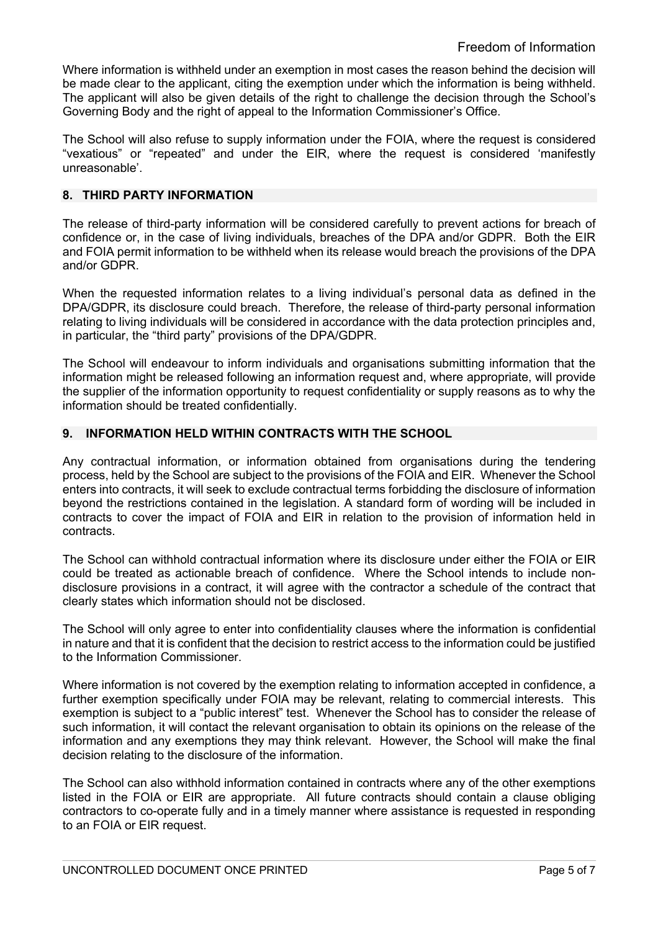Where information is withheld under an exemption in most cases the reason behind the decision will be made clear to the applicant, citing the exemption under which the information is being withheld. The applicant will also be given details of the right to challenge the decision through the School's Governing Body and the right of appeal to the Information Commissioner's Office.

The School will also refuse to supply information under the FOIA, where the request is considered "vexatious" or "repeated" and under the EIR, where the request is considered 'manifestly unreasonable'.

# **8. THIRD PARTY INFORMATION**

The release of third-party information will be considered carefully to prevent actions for breach of confidence or, in the case of living individuals, breaches of the DPA and/or GDPR. Both the EIR and FOIA permit information to be withheld when its release would breach the provisions of the DPA and/or GDPR.

When the requested information relates to a living individual's personal data as defined in the DPA/GDPR, its disclosure could breach. Therefore, the release of third-party personal information relating to living individuals will be considered in accordance with the data protection principles and, in particular, the "third party" provisions of the DPA/GDPR.

The School will endeavour to inform individuals and organisations submitting information that the information might be released following an information request and, where appropriate, will provide the supplier of the information opportunity to request confidentiality or supply reasons as to why the information should be treated confidentially.

### **9. INFORMATION HELD WITHIN CONTRACTS WITH THE SCHOOL**

Any contractual information, or information obtained from organisations during the tendering process, held by the School are subject to the provisions of the FOIA and EIR. Whenever the School enters into contracts, it will seek to exclude contractual terms forbidding the disclosure of information beyond the restrictions contained in the legislation. A standard form of wording will be included in contracts to cover the impact of FOIA and EIR in relation to the provision of information held in contracts.

The School can withhold contractual information where its disclosure under either the FOIA or EIR could be treated as actionable breach of confidence. Where the School intends to include nondisclosure provisions in a contract, it will agree with the contractor a schedule of the contract that clearly states which information should not be disclosed.

The School will only agree to enter into confidentiality clauses where the information is confidential in nature and that it is confident that the decision to restrict access to the information could be justified to the Information Commissioner.

Where information is not covered by the exemption relating to information accepted in confidence, a further exemption specifically under FOIA may be relevant, relating to commercial interests. This exemption is subject to a "public interest" test. Whenever the School has to consider the release of such information, it will contact the relevant organisation to obtain its opinions on the release of the information and any exemptions they may think relevant. However, the School will make the final decision relating to the disclosure of the information.

The School can also withhold information contained in contracts where any of the other exemptions listed in the FOIA or EIR are appropriate. All future contracts should contain a clause obliging contractors to co-operate fully and in a timely manner where assistance is requested in responding to an FOIA or EIR request.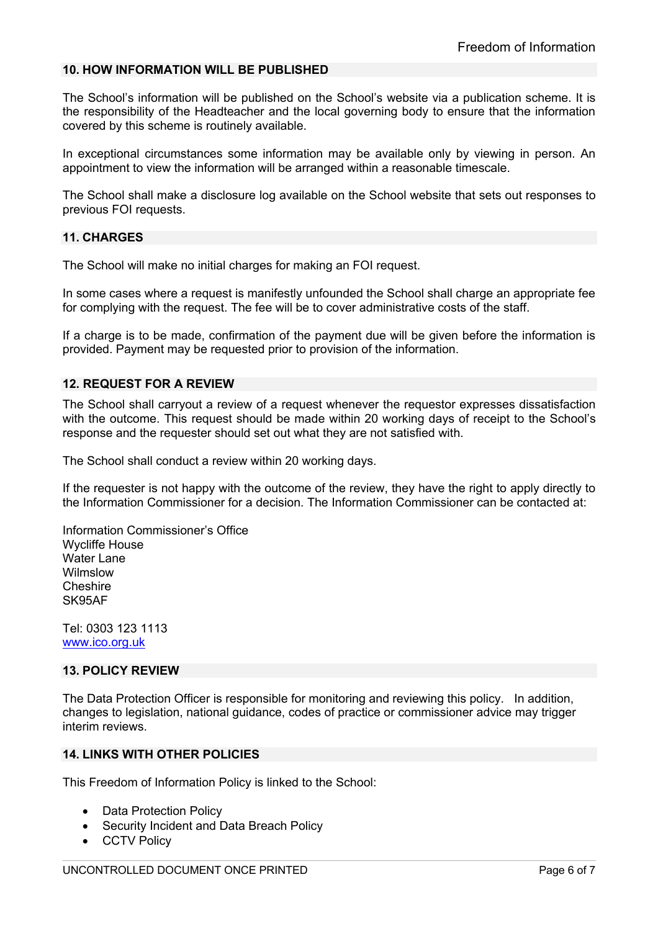# **10. HOW INFORMATION WILL BE PUBLISHED**

The School's information will be published on the School's website via a publication scheme. It is the responsibility of the Headteacher and the local governing body to ensure that the information covered by this scheme is routinely available.

In exceptional circumstances some information may be available only by viewing in person. An appointment to view the information will be arranged within a reasonable timescale.

The School shall make a disclosure log available on the School website that sets out responses to previous FOI requests.

# **11. CHARGES**

The School will make no initial charges for making an FOI request.

In some cases where a request is manifestly unfounded the School shall charge an appropriate fee for complying with the request. The fee will be to cover administrative costs of the staff.

If a charge is to be made, confirmation of the payment due will be given before the information is provided. Payment may be requested prior to provision of the information.

### **12. REQUEST FOR A REVIEW**

The School shall carryout a review of a request whenever the requestor expresses dissatisfaction with the outcome. This request should be made within 20 working days of receipt to the School's response and the requester should set out what they are not satisfied with.

The School shall conduct a review within 20 working days.

If the requester is not happy with the outcome of the review, they have the right to apply directly to the Information Commissioner for a decision. The Information Commissioner can be contacted at:

Information Commissioner's Office Wycliffe House Water Lane **Wilmslow** Cheshire SK95AF

Tel: 0303 123 1113 www.ico.org.uk

#### **13. POLICY REVIEW**

The Data Protection Officer is responsible for monitoring and reviewing this policy. In addition, changes to legislation, national guidance, codes of practice or commissioner advice may trigger interim reviews.

#### **14. LINKS WITH OTHER POLICIES**

This Freedom of Information Policy is linked to the School:

- Data Protection Policy
- Security Incident and Data Breach Policy
- **CCTV Policy**